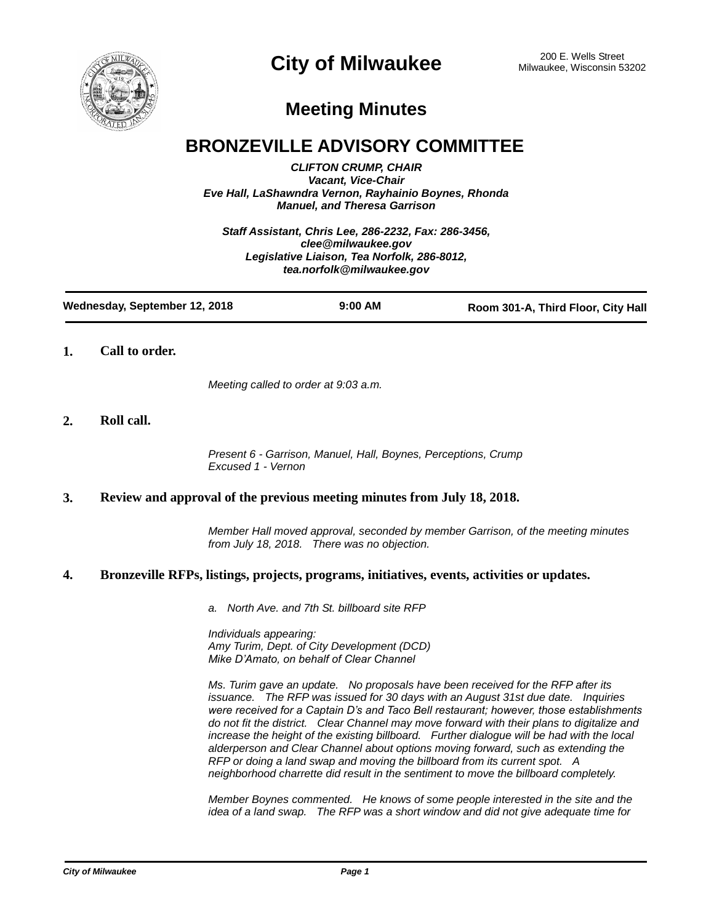

# **Meeting Minutes**

# **BRONZEVILLE ADVISORY COMMITTEE**

*CLIFTON CRUMP, CHAIR Vacant, Vice-Chair Eve Hall, LaShawndra Vernon, Rayhainio Boynes, Rhonda Manuel, and Theresa Garrison*

*Staff Assistant, Chris Lee, 286-2232, Fax: 286-3456, clee@milwaukee.gov Legislative Liaison, Tea Norfolk, 286-8012, tea.norfolk@milwaukee.gov*

| Wednesday, September 12, 2018 | $9:00$ AM | Room 301-A, Third Floor, City Hall |
|-------------------------------|-----------|------------------------------------|
|                               |           |                                    |

## **1. Call to order.**

*Meeting called to order at 9:03 a.m.*

# **2. Roll call.**

*Present 6 - Garrison, Manuel, Hall, Boynes, Perceptions, Crump Excused 1 - Vernon*

# **3. Review and approval of the previous meeting minutes from July 18, 2018.**

*Member Hall moved approval, seconded by member Garrison, of the meeting minutes from July 18, 2018. There was no objection.*

### **4. Bronzeville RFPs, listings, projects, programs, initiatives, events, activities or updates.**

*a. North Ave. and 7th St. billboard site RFP*

*Individuals appearing: Amy Turim, Dept. of City Development (DCD) Mike D'Amato, on behalf of Clear Channel*

*Ms. Turim gave an update. No proposals have been received for the RFP after its issuance. The RFP was issued for 30 days with an August 31st due date. Inquiries were received for a Captain D's and Taco Bell restaurant; however, those establishments do not fit the district. Clear Channel may move forward with their plans to digitalize and increase the height of the existing billboard. Further dialogue will be had with the local alderperson and Clear Channel about options moving forward, such as extending the RFP or doing a land swap and moving the billboard from its current spot. A neighborhood charrette did result in the sentiment to move the billboard completely.*

*Member Boynes commented. He knows of some people interested in the site and the idea of a land swap. The RFP was a short window and did not give adequate time for*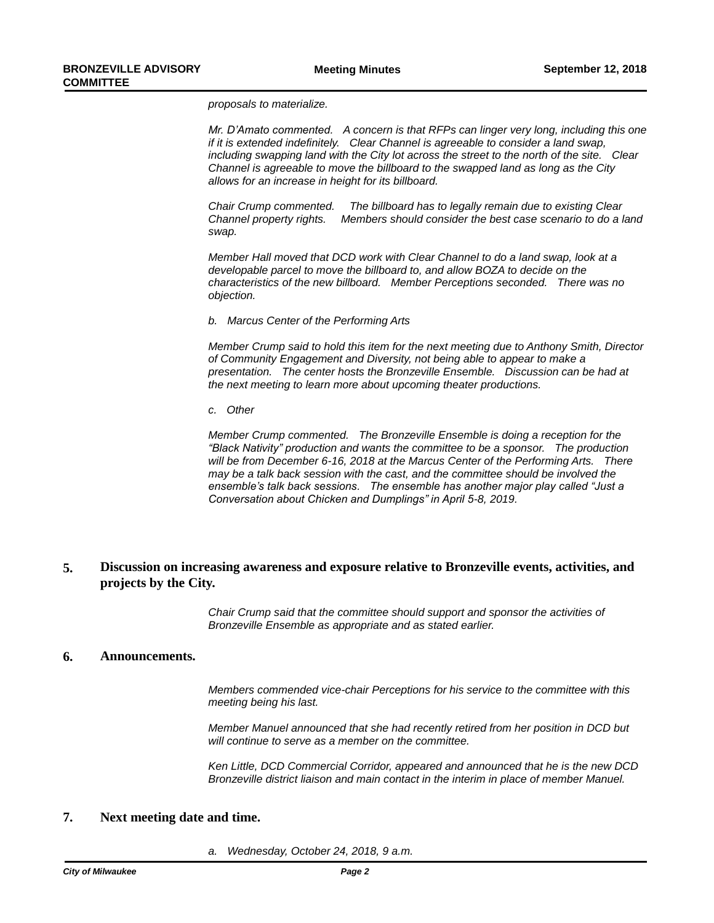*proposals to materialize.*

*Mr. D'Amato commented. A concern is that RFPs can linger very long, including this one if it is extended indefinitely. Clear Channel is agreeable to consider a land swap, including swapping land with the City lot across the street to the north of the site. Clear Channel is agreeable to move the billboard to the swapped land as long as the City allows for an increase in height for its billboard.*

*Chair Crump commented. The billboard has to legally remain due to existing Clear Channel property rights. Members should consider the best case scenario to do a land swap.* 

*Member Hall moved that DCD work with Clear Channel to do a land swap, look at a developable parcel to move the billboard to, and allow BOZA to decide on the characteristics of the new billboard. Member Perceptions seconded. There was no objection.*

*b. Marcus Center of the Performing Arts*

*Member Crump said to hold this item for the next meeting due to Anthony Smith, Director of Community Engagement and Diversity, not being able to appear to make a presentation. The center hosts the Bronzeville Ensemble. Discussion can be had at the next meeting to learn more about upcoming theater productions.*

*c. Other*

*Member Crump commented. The Bronzeville Ensemble is doing a reception for the "Black Nativity" production and wants the committee to be a sponsor. The production will be from December 6-16, 2018 at the Marcus Center of the Performing Arts. There may be a talk back session with the cast, and the committee should be involved the ensemble's talk back sessions. The ensemble has another major play called "Just a Conversation about Chicken and Dumplings" in April 5-8, 2019.*

#### **Discussion on increasing awareness and exposure relative to Bronzeville events, activities, and projects by the City. 5.**

*Chair Crump said that the committee should support and sponsor the activities of Bronzeville Ensemble as appropriate and as stated earlier.*

### **6. Announcements.**

*Members commended vice-chair Perceptions for his service to the committee with this meeting being his last.*

*Member Manuel announced that she had recently retired from her position in DCD but will continue to serve as a member on the committee.*

*Ken Little, DCD Commercial Corridor, appeared and announced that he is the new DCD Bronzeville district liaison and main contact in the interim in place of member Manuel.*

### **7. Next meeting date and time.**

*a. Wednesday, October 24, 2018, 9 a.m.*